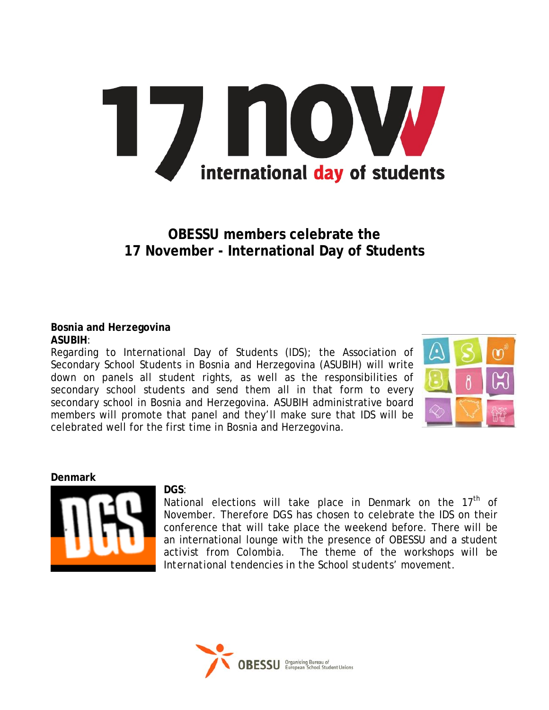# 7 NOW international day of students

# **OBESSU members celebrate the 17 November - International Day of Students**

#### **Bosnia and Herzegovina ASUBIH**:

Regarding to International Day of Students (IDS); the Association of Secondary School Students in Bosnia and Herzegovina (ASUBIH) will write down on panels all student rights, as well as the responsibilities of secondary school students and send them all in that form to every secondary school in Bosnia and Herzegovina. ASUBIH administrative board members will promote that panel and they'll make sure that IDS will be celebrated well for the first time in Bosnia and Herzegovina.



#### **Denmark**



#### **DGS**:

National elections will take place in Denmark on the  $17<sup>th</sup>$  of November. Therefore DGS has chosen to celebrate the IDS on their conference that will take place the weekend before. There will be an international lounge with the presence of OBESSU and a student activist from Colombia. The theme of the workshops will be *International tendencies in the School students' movement.* 

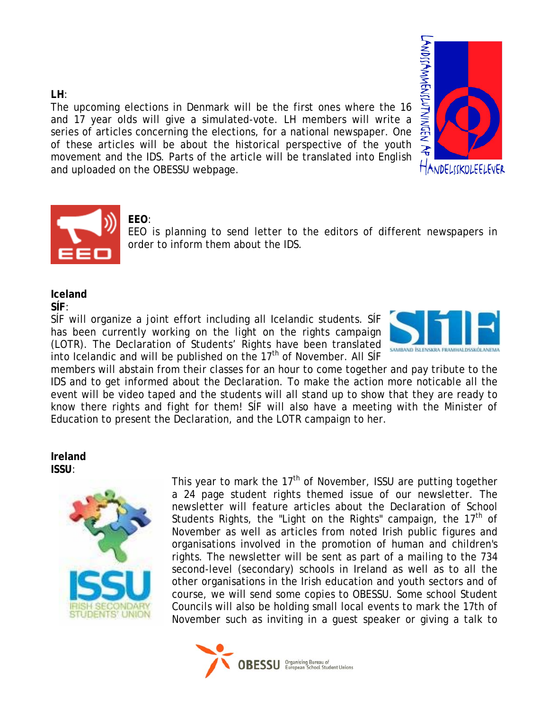#### **LH**:

The upcoming elections in Denmark will be the first ones where the 16 and 17 year olds will give a simulated-vote. LH members will write a series of articles concerning the elections, for a national newspaper. One of these articles will be about the historical perspective of the youth movement and the IDS. Parts of the article will be translated into English and uploaded on the OBESSU webpage.





## **EEO**:

EEO is planning to send letter to the editors of different newspapers in order to inform them about the IDS.

### **Iceland**

**SÍF**:

SÍF will organize a joint effort including all Icelandic students. SÍF has been currently working on the light on the rights campaign (LOTR). The Declaration of Students' Rights have been translated into Icelandic and will be published on the  $17<sup>th</sup>$  of November. All SIF



members will abstain from their classes for an hour to come together and pay tribute to the IDS and to get informed about the Declaration. To make the action more noticable all the event will be video taped and the students will all stand up to show that they are ready to know there rights and fight for them! SÍF will also have a meeting with the Minister of Education to present the Declaration, and the LOTR campaign to her.

#### **Ireland ISSU**:



This year to mark the  $17<sup>th</sup>$  of November, ISSU are putting together a 24 page student rights themed issue of our newsletter. The newsletter will feature articles about the Declaration of School Students Rights, the "Light on the Rights" campaign, the  $17<sup>th</sup>$  of November as well as articles from noted Irish public figures and organisations involved in the promotion of human and children's rights. The newsletter will be sent as part of a mailing to the 734 second-level (secondary) schools in Ireland as well as to all the other organisations in the Irish education and youth sectors and of course, we will send some copies to OBESSU. Some school Student Councils will also be holding small local events to mark the 17th of November such as inviting in a guest speaker or giving a talk to

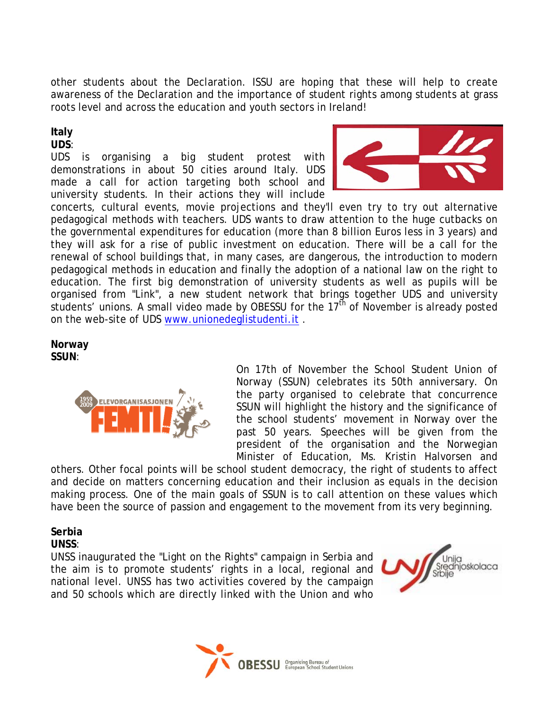other students about the Declaration. ISSU are hoping that these will help to create awareness of the Declaration and the importance of student rights among students at grass roots level and across the education and youth sectors in Ireland!

#### **Italy**

#### **UDS**:

UDS is organising a big student protest with demonstrations in about 50 cities around Italy. UDS made a call for action targeting both school and university students. In their actions they will include



concerts, cultural events, movie projections and they'll even try to try out alternative pedagogical methods with teachers. UDS wants to draw attention to the huge cutbacks on the governmental expenditures for education (more than 8 billion Euros less in 3 years) and they will ask for a rise of public investment on education. There will be a call for the renewal of school buildings that, in many cases, are dangerous, the introduction to modern pedagogical methods in education and finally the adoption of a national law on the right to education. The first big demonstration of university students as well as pupils will be organised from "Link", a new student network that brings together UDS and university students' unions. A small video made by OBESSU for the  $17<sup>th</sup>$  of November is already posted on the web-site of UDS [www.unionedeglistudenti.it](http://www.unionedeglistudenti.it/) .

#### **Norway SSUN**:



On 17th of November the School Student Union of Norway (SSUN) celebrates its 50th anniversary. On the party organised to celebrate that concurrence SSUN will highlight the history and the significance of the school students' movement in Norway over the past 50 years. Speeches will be given from the president of the organisation and the Norwegian Minister of Education, Ms. Kristin Halvorsen and

others. Other focal points will be school student democracy, the right of students to affect and decide on matters concerning education and their inclusion as equals in the decision making process. One of the main goals of SSUN is to call attention on these values which have been the source of passion and engagement to the movement from its very beginning.

#### **Serbia**

#### **UNSS**:

UNSS inaugurated the "Light on the Rights" campaign in Serbia and the aim is to promote students' rights in a local, regional and national level. UNSS has two activities covered by the campaign and 50 schools which are directly linked with the Union and who